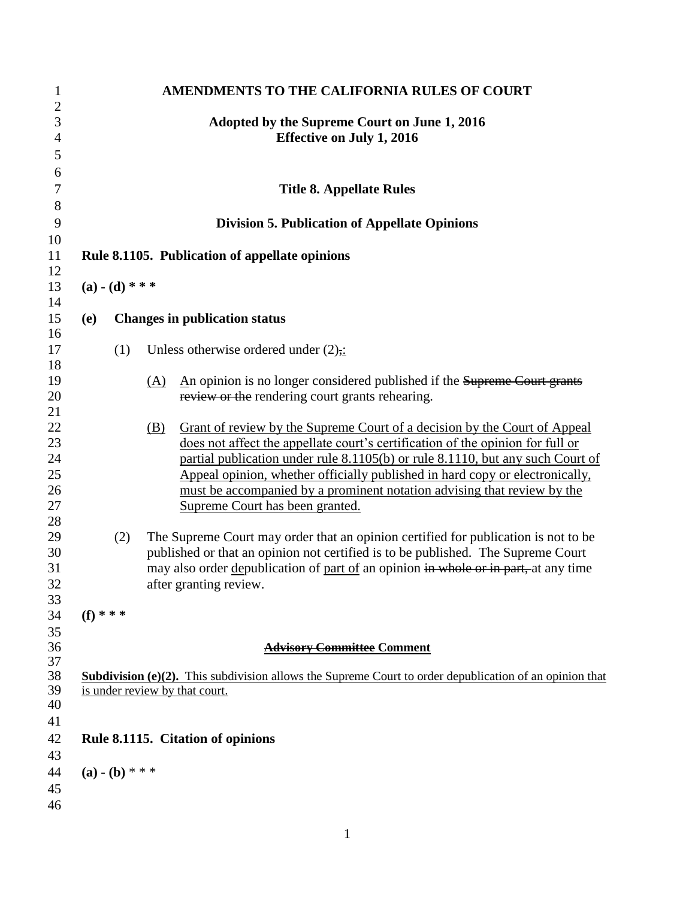| Adopted by the Supreme Court on June 1, 2016<br><b>Effective on July 1, 2016</b><br><b>Title 8. Appellate Rules</b><br><b>Division 5. Publication of Appellate Opinions</b><br>Rule 8.1105. Publication of appellate opinions<br>$(a) - (d) * * *$<br><b>Changes in publication status</b><br>(e)<br>(1)<br>Unless otherwise ordered under $(2)$ .<br>An opinion is no longer considered published if the Supreme Court grants<br><u>(A)</u><br>review or the rendering court grants rehearing.<br>Grant of review by the Supreme Court of a decision by the Court of Appeal<br>(B)<br>does not affect the appellate court's certification of the opinion for full or<br>partial publication under rule 8.1105(b) or rule 8.1110, but any such Court of<br>Appeal opinion, whether officially published in hard copy or electronically,<br>must be accompanied by a prominent notation advising that review by the<br>Supreme Court has been granted.<br>The Supreme Court may order that an opinion certified for publication is not to be<br>(2)<br>published or that an opinion not certified is to be published. The Supreme Court |  |
|----------------------------------------------------------------------------------------------------------------------------------------------------------------------------------------------------------------------------------------------------------------------------------------------------------------------------------------------------------------------------------------------------------------------------------------------------------------------------------------------------------------------------------------------------------------------------------------------------------------------------------------------------------------------------------------------------------------------------------------------------------------------------------------------------------------------------------------------------------------------------------------------------------------------------------------------------------------------------------------------------------------------------------------------------------------------------------------------------------------------------------------|--|
|                                                                                                                                                                                                                                                                                                                                                                                                                                                                                                                                                                                                                                                                                                                                                                                                                                                                                                                                                                                                                                                                                                                                        |  |
|                                                                                                                                                                                                                                                                                                                                                                                                                                                                                                                                                                                                                                                                                                                                                                                                                                                                                                                                                                                                                                                                                                                                        |  |
|                                                                                                                                                                                                                                                                                                                                                                                                                                                                                                                                                                                                                                                                                                                                                                                                                                                                                                                                                                                                                                                                                                                                        |  |
|                                                                                                                                                                                                                                                                                                                                                                                                                                                                                                                                                                                                                                                                                                                                                                                                                                                                                                                                                                                                                                                                                                                                        |  |
|                                                                                                                                                                                                                                                                                                                                                                                                                                                                                                                                                                                                                                                                                                                                                                                                                                                                                                                                                                                                                                                                                                                                        |  |
|                                                                                                                                                                                                                                                                                                                                                                                                                                                                                                                                                                                                                                                                                                                                                                                                                                                                                                                                                                                                                                                                                                                                        |  |
|                                                                                                                                                                                                                                                                                                                                                                                                                                                                                                                                                                                                                                                                                                                                                                                                                                                                                                                                                                                                                                                                                                                                        |  |
|                                                                                                                                                                                                                                                                                                                                                                                                                                                                                                                                                                                                                                                                                                                                                                                                                                                                                                                                                                                                                                                                                                                                        |  |
|                                                                                                                                                                                                                                                                                                                                                                                                                                                                                                                                                                                                                                                                                                                                                                                                                                                                                                                                                                                                                                                                                                                                        |  |
|                                                                                                                                                                                                                                                                                                                                                                                                                                                                                                                                                                                                                                                                                                                                                                                                                                                                                                                                                                                                                                                                                                                                        |  |
| may also order depublication of part of an opinion in whole or in part, at any time<br>after granting review.                                                                                                                                                                                                                                                                                                                                                                                                                                                                                                                                                                                                                                                                                                                                                                                                                                                                                                                                                                                                                          |  |
| $(f)$ * * *                                                                                                                                                                                                                                                                                                                                                                                                                                                                                                                                                                                                                                                                                                                                                                                                                                                                                                                                                                                                                                                                                                                            |  |
| <b>Advisory Committee Comment</b>                                                                                                                                                                                                                                                                                                                                                                                                                                                                                                                                                                                                                                                                                                                                                                                                                                                                                                                                                                                                                                                                                                      |  |
| <b>Subdivision (e)(2).</b> This subdivision allows the Supreme Court to order depublication of an opinion that<br>is under review by that court.                                                                                                                                                                                                                                                                                                                                                                                                                                                                                                                                                                                                                                                                                                                                                                                                                                                                                                                                                                                       |  |
|                                                                                                                                                                                                                                                                                                                                                                                                                                                                                                                                                                                                                                                                                                                                                                                                                                                                                                                                                                                                                                                                                                                                        |  |
| Rule 8.1115. Citation of opinions                                                                                                                                                                                                                                                                                                                                                                                                                                                                                                                                                                                                                                                                                                                                                                                                                                                                                                                                                                                                                                                                                                      |  |
| $(a) - (b) * * *$                                                                                                                                                                                                                                                                                                                                                                                                                                                                                                                                                                                                                                                                                                                                                                                                                                                                                                                                                                                                                                                                                                                      |  |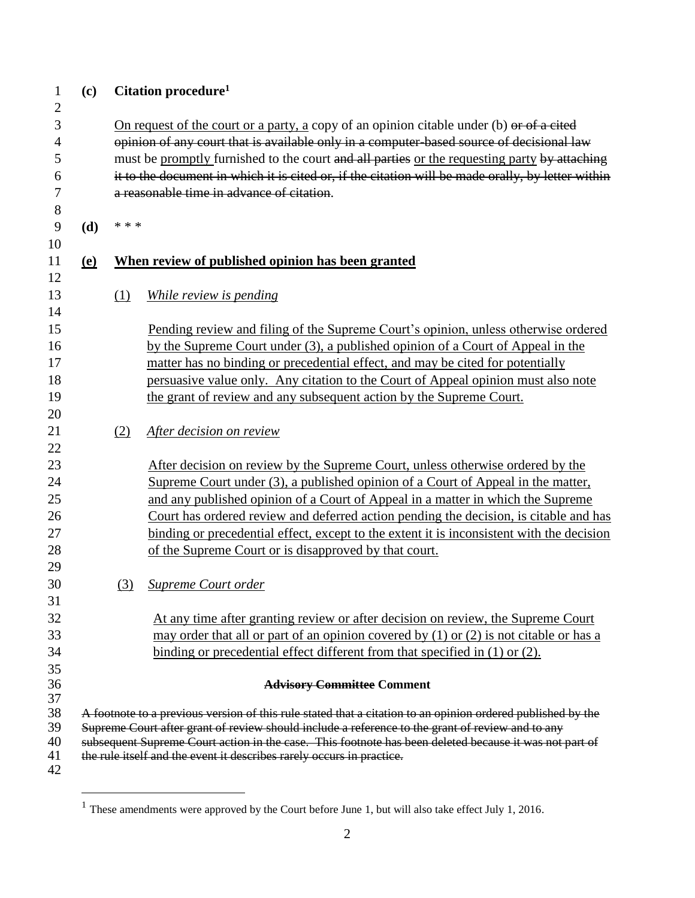| $\mathbf{1}$<br>$\overline{2}$ | (c)                                                                                                                                              |                                                                                                                                                                                          | Citation procedure <sup>1</sup>                                                            |  |  |
|--------------------------------|--------------------------------------------------------------------------------------------------------------------------------------------------|------------------------------------------------------------------------------------------------------------------------------------------------------------------------------------------|--------------------------------------------------------------------------------------------|--|--|
| 3<br>$\overline{4}$            |                                                                                                                                                  | On request of the court or a party, a copy of an opinion citable under (b) or of a cited                                                                                                 |                                                                                            |  |  |
| 5                              |                                                                                                                                                  | opinion of any court that is available only in a computer-based source of decisional law<br>must be promptly furnished to the court and all parties or the requesting party by attaching |                                                                                            |  |  |
| 6                              |                                                                                                                                                  | it to the document in which it is cited or, if the citation will be made orally, by letter within                                                                                        |                                                                                            |  |  |
| 7                              |                                                                                                                                                  | a reasonable time in advance of citation.                                                                                                                                                |                                                                                            |  |  |
| 8                              |                                                                                                                                                  |                                                                                                                                                                                          |                                                                                            |  |  |
| 9                              | (d)                                                                                                                                              | * * *                                                                                                                                                                                    |                                                                                            |  |  |
| 10                             |                                                                                                                                                  |                                                                                                                                                                                          |                                                                                            |  |  |
| 11                             | <u>(e)</u>                                                                                                                                       | When review of published opinion has been granted                                                                                                                                        |                                                                                            |  |  |
| 12                             |                                                                                                                                                  |                                                                                                                                                                                          |                                                                                            |  |  |
| 13                             |                                                                                                                                                  | (1)                                                                                                                                                                                      | While review is pending                                                                    |  |  |
| 14                             |                                                                                                                                                  |                                                                                                                                                                                          |                                                                                            |  |  |
| 15                             |                                                                                                                                                  |                                                                                                                                                                                          | Pending review and filing of the Supreme Court's opinion, unless otherwise ordered         |  |  |
| 16                             |                                                                                                                                                  |                                                                                                                                                                                          | by the Supreme Court under (3), a published opinion of a Court of Appeal in the            |  |  |
| 17                             |                                                                                                                                                  |                                                                                                                                                                                          | matter has no binding or precedential effect, and may be cited for potentially             |  |  |
| 18                             |                                                                                                                                                  |                                                                                                                                                                                          | persuasive value only. Any citation to the Court of Appeal opinion must also note          |  |  |
| 19                             |                                                                                                                                                  |                                                                                                                                                                                          | the grant of review and any subsequent action by the Supreme Court.                        |  |  |
| 20                             |                                                                                                                                                  |                                                                                                                                                                                          |                                                                                            |  |  |
| 21                             |                                                                                                                                                  | (2)                                                                                                                                                                                      | After decision on review                                                                   |  |  |
| 22<br>23                       |                                                                                                                                                  |                                                                                                                                                                                          | After decision on review by the Supreme Court, unless otherwise ordered by the             |  |  |
| 24                             |                                                                                                                                                  |                                                                                                                                                                                          | Supreme Court under (3), a published opinion of a Court of Appeal in the matter,           |  |  |
| 25                             |                                                                                                                                                  |                                                                                                                                                                                          | and any published opinion of a Court of Appeal in a matter in which the Supreme            |  |  |
| 26                             |                                                                                                                                                  |                                                                                                                                                                                          | Court has ordered review and deferred action pending the decision, is citable and has      |  |  |
| 27                             |                                                                                                                                                  |                                                                                                                                                                                          | binding or precedential effect, except to the extent it is inconsistent with the decision  |  |  |
| 28                             |                                                                                                                                                  |                                                                                                                                                                                          | of the Supreme Court or is disapproved by that court.                                      |  |  |
| 29                             |                                                                                                                                                  |                                                                                                                                                                                          |                                                                                            |  |  |
| 30                             |                                                                                                                                                  | (3)                                                                                                                                                                                      | Supreme Court order                                                                        |  |  |
| 31                             |                                                                                                                                                  |                                                                                                                                                                                          |                                                                                            |  |  |
| 32                             |                                                                                                                                                  |                                                                                                                                                                                          | At any time after granting review or after decision on review, the Supreme Court           |  |  |
| 33                             |                                                                                                                                                  |                                                                                                                                                                                          | may order that all or part of an opinion covered by $(1)$ or $(2)$ is not citable or has a |  |  |
| 34                             |                                                                                                                                                  |                                                                                                                                                                                          | binding or precedential effect different from that specified in (1) or (2).                |  |  |
| 35                             |                                                                                                                                                  |                                                                                                                                                                                          |                                                                                            |  |  |
| 36                             | <b>Advisory Committee Comment</b><br>A footnote to a previous version of this rule stated that a citation to an opinion ordered published by the |                                                                                                                                                                                          |                                                                                            |  |  |
| 37<br>38                       |                                                                                                                                                  |                                                                                                                                                                                          |                                                                                            |  |  |
| 39                             | Supreme Court after grant of review should include a reference to the grant of review and to any                                                 |                                                                                                                                                                                          |                                                                                            |  |  |
| 40                             | subsequent Supreme Court action in the case. This footnote has been deleted because it was not part of                                           |                                                                                                                                                                                          |                                                                                            |  |  |
| 41                             |                                                                                                                                                  |                                                                                                                                                                                          | the rule itself and the event it describes rarely occurs in practice.                      |  |  |
| 42                             |                                                                                                                                                  |                                                                                                                                                                                          |                                                                                            |  |  |

 $\overline{a}$ 

<sup>&</sup>lt;sup>1</sup> These amendments were approved by the Court before June 1, but will also take effect July 1, 2016.